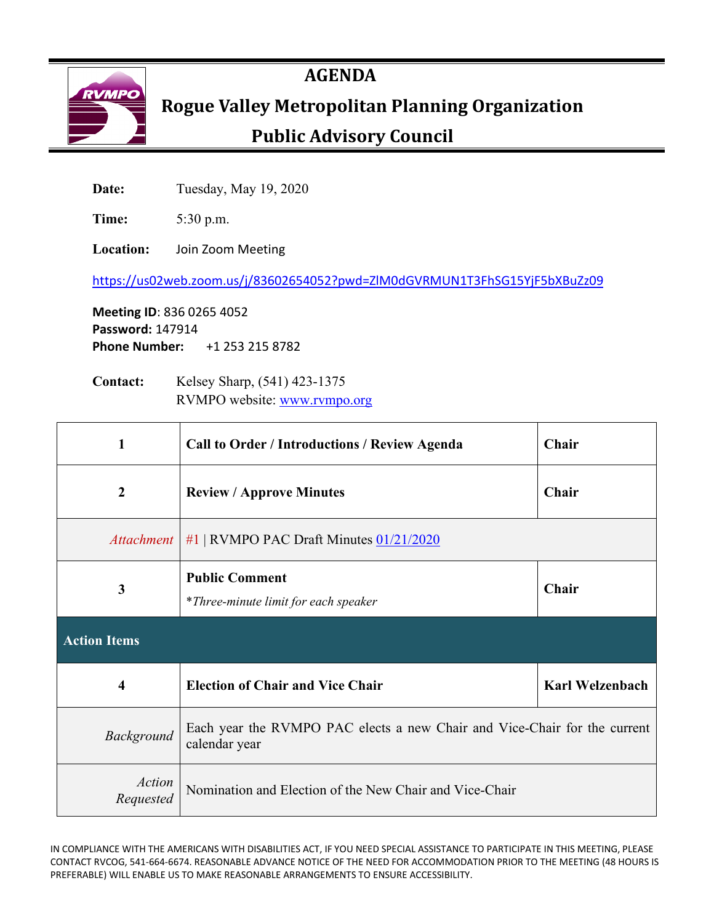

## **AGENDA**

# **RYMPO** Rogue Valley Metropolitan Planning Organization

# **Public Advisory Council**

**Date:** Tuesday, May 19, 2020

**Time:** 5:30 p.m.

**Location:** Join Zoom Meeting

<https://us02web.zoom.us/j/83602654052?pwd=ZlM0dGVRMUN1T3FhSG15YjF5bXBuZz09>

**Meeting ID**: 836 0265 4052 **Password:** 147914 **Phone Number:** +1 253 215 8782

**Contact:** Kelsey Sharp, (541) 423-1375 RVMPO website: [www.rvmpo.org](http://www.rvmpo.org/)

| 1                       | <b>Call to Order / Introductions / Review Agenda</b>                                       | Chair                  |
|-------------------------|--------------------------------------------------------------------------------------------|------------------------|
| $\boldsymbol{2}$        | <b>Review / Approve Minutes</b>                                                            | Chair                  |
|                         | Attachment   #1   RVMPO PAC Draft Minutes 01/21/2020                                       |                        |
| 3                       | <b>Public Comment</b><br>*Three-minute limit for each speaker                              | Chair                  |
| <b>Action Items</b>     |                                                                                            |                        |
| $\overline{\mathbf{4}}$ |                                                                                            |                        |
|                         | <b>Election of Chair and Vice Chair</b>                                                    | <b>Karl Welzenbach</b> |
| Background              | Each year the RVMPO PAC elects a new Chair and Vice-Chair for the current<br>calendar year |                        |

IN COMPLIANCE WITH THE AMERICANS WITH DISABILITIES ACT, IF YOU NEED SPECIAL ASSISTANCE TO PARTICIPATE IN THIS MEETING, PLEASE CONTACT RVCOG, 541-664-6674. REASONABLE ADVANCE NOTICE OF THE NEED FOR ACCOMMODATION PRIOR TO THE MEETING (48 HOURS IS PREFERABLE) WILL ENABLE US TO MAKE REASONABLE ARRANGEMENTS TO ENSURE ACCESSIBILITY.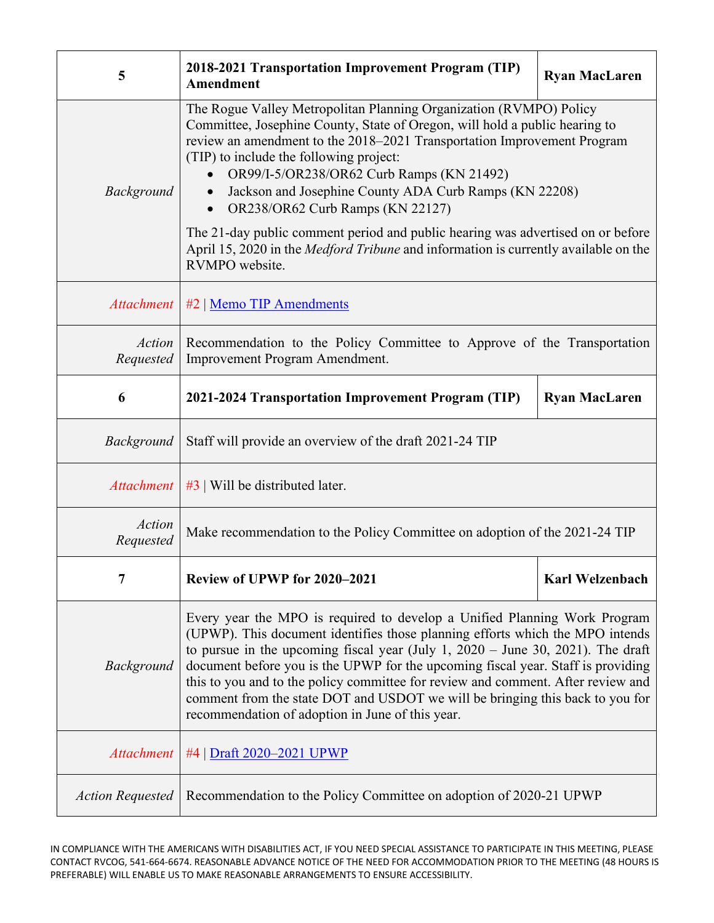| 5                          | 2018-2021 Transportation Improvement Program (TIP)<br>Amendment                                                                                                                                                                                                                                                                                                                                                                                                                                                                                                                                                                                 | <b>Ryan MacLaren</b>   |
|----------------------------|-------------------------------------------------------------------------------------------------------------------------------------------------------------------------------------------------------------------------------------------------------------------------------------------------------------------------------------------------------------------------------------------------------------------------------------------------------------------------------------------------------------------------------------------------------------------------------------------------------------------------------------------------|------------------------|
| <b>Background</b>          | The Rogue Valley Metropolitan Planning Organization (RVMPO) Policy<br>Committee, Josephine County, State of Oregon, will hold a public hearing to<br>review an amendment to the 2018–2021 Transportation Improvement Program<br>(TIP) to include the following project:<br>OR99/I-5/OR238/OR62 Curb Ramps (KN 21492)<br>Jackson and Josephine County ADA Curb Ramps (KN 22208)<br>$\bullet$<br>OR238/OR62 Curb Ramps (KN 22127)<br>$\bullet$<br>The 21-day public comment period and public hearing was advertised on or before<br>April 15, 2020 in the <i>Medford Tribune</i> and information is currently available on the<br>RVMPO website. |                        |
| <b>Attachment</b>          | #2   Memo TIP Amendments                                                                                                                                                                                                                                                                                                                                                                                                                                                                                                                                                                                                                        |                        |
| Action<br>Requested        | Recommendation to the Policy Committee to Approve of the Transportation<br>Improvement Program Amendment.                                                                                                                                                                                                                                                                                                                                                                                                                                                                                                                                       |                        |
| 6                          | 2021-2024 Transportation Improvement Program (TIP)                                                                                                                                                                                                                                                                                                                                                                                                                                                                                                                                                                                              | <b>Ryan MacLaren</b>   |
| Background                 | Staff will provide an overview of the draft 2021-24 TIP                                                                                                                                                                                                                                                                                                                                                                                                                                                                                                                                                                                         |                        |
| Attachment                 | $#3$   Will be distributed later.                                                                                                                                                                                                                                                                                                                                                                                                                                                                                                                                                                                                               |                        |
| <b>Action</b><br>Requested | Make recommendation to the Policy Committee on adoption of the 2021-24 TIP                                                                                                                                                                                                                                                                                                                                                                                                                                                                                                                                                                      |                        |
|                            | Review of UPWP for 2020-2021                                                                                                                                                                                                                                                                                                                                                                                                                                                                                                                                                                                                                    | <b>Karl Welzenbach</b> |
| Background                 | Every year the MPO is required to develop a Unified Planning Work Program<br>(UPWP). This document identifies those planning efforts which the MPO intends<br>to pursue in the upcoming fiscal year (July 1, $2020 -$ June 30, 2021). The draft<br>document before you is the UPWP for the upcoming fiscal year. Staff is providing<br>this to you and to the policy committee for review and comment. After review and<br>comment from the state DOT and USDOT we will be bringing this back to you for<br>recommendation of adoption in June of this year.                                                                                    |                        |
| <i>Attachment</i>          | #4   Draft 2020–2021 UPWP                                                                                                                                                                                                                                                                                                                                                                                                                                                                                                                                                                                                                       |                        |
| <b>Action Requested</b>    | Recommendation to the Policy Committee on adoption of 2020-21 UPWP                                                                                                                                                                                                                                                                                                                                                                                                                                                                                                                                                                              |                        |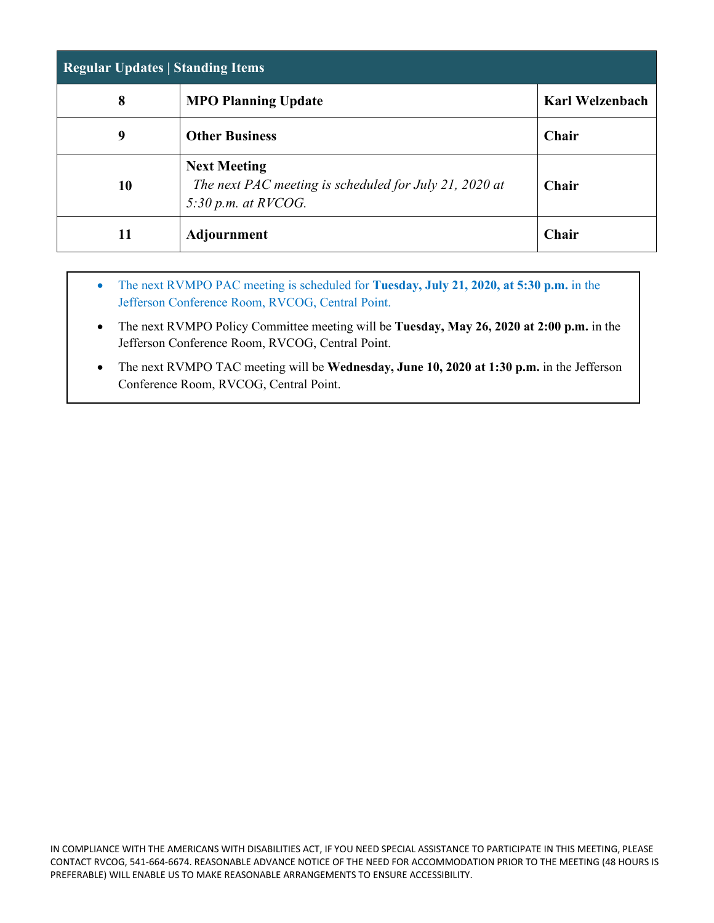| <b>Regular Updates   Standing Items</b> |                                                                                                        |                        |  |  |  |  |  |  |  |
|-----------------------------------------|--------------------------------------------------------------------------------------------------------|------------------------|--|--|--|--|--|--|--|
| 8                                       | <b>MPO Planning Update</b>                                                                             | <b>Karl Welzenbach</b> |  |  |  |  |  |  |  |
| 9                                       | <b>Other Business</b>                                                                                  | Chair                  |  |  |  |  |  |  |  |
| 10                                      | <b>Next Meeting</b><br>The next PAC meeting is scheduled for July 21, 2020 at<br>$5:30$ p.m. at RVCOG. | Chair                  |  |  |  |  |  |  |  |
| 11                                      | <b>Adjournment</b>                                                                                     | Chair                  |  |  |  |  |  |  |  |

- The next RVMPO PAC meeting is scheduled for **Tuesday, July 21, 2020, at 5:30 p.m.** in the Jefferson Conference Room, RVCOG, Central Point.
- The next RVMPO Policy Committee meeting will be **Tuesday, May 26, 2020 at 2:00 p.m.** in the Jefferson Conference Room, RVCOG, Central Point.
- The next RVMPO TAC meeting will be **Wednesday, June 10, 2020 at 1:30 p.m.** in the Jefferson Conference Room, RVCOG, Central Point.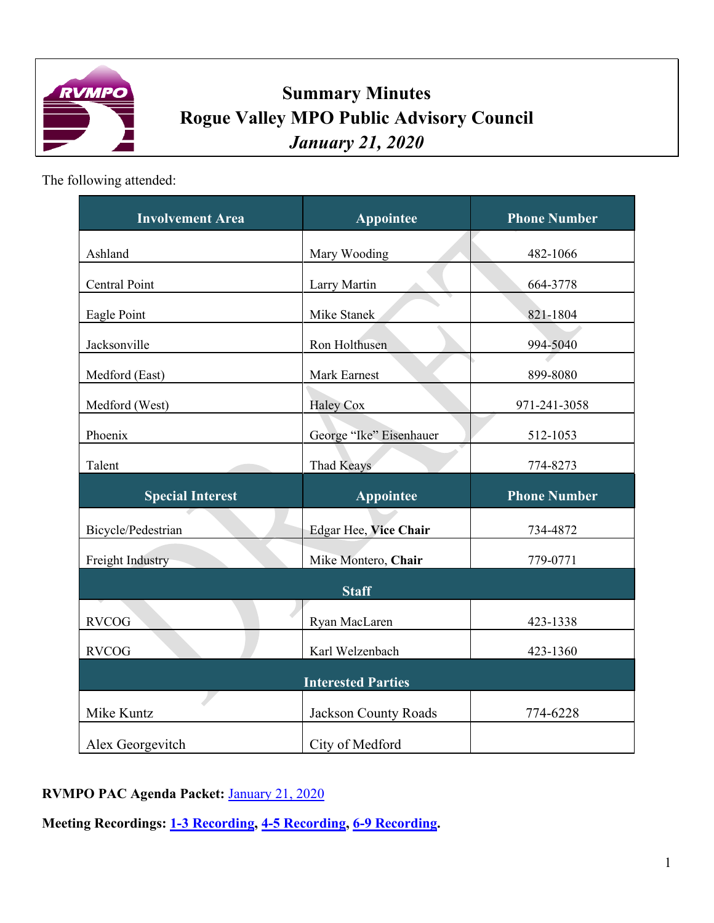

# **Summary Minutes Rogue Valley MPO Public Advisory Council** *January 21, 2020*

The following attended:

| <b>Involvement Area</b> | Appointee                   | <b>Phone Number</b> |
|-------------------------|-----------------------------|---------------------|
| Ashland                 | Mary Wooding                | 482-1066            |
| Central Point           | Larry Martin                | 664-3778            |
| Eagle Point             | Mike Stanek                 | 821-1804            |
| Jacksonville            | Ron Holthusen               | 994-5040            |
| Medford (East)          | Mark Earnest                | 899-8080            |
| Medford (West)          | <b>Haley Cox</b>            | 971-241-3058        |
| Phoenix                 | George "Ike" Eisenhauer     | 512-1053            |
| Talent                  | <b>Thad Keays</b>           | 774-8273            |
|                         |                             |                     |
| <b>Special Interest</b> | Appointee                   | <b>Phone Number</b> |
| Bicycle/Pedestrian      | Edgar Hee, Vice Chair       | 734-4872            |
| Freight Industry        | Mike Montero, Chair         | 779-0771            |
|                         | <b>Staff</b>                |                     |
| <b>RVCOG</b>            | Ryan MacLaren               | 423-1338            |
| <b>RVCOG</b>            | Karl Welzenbach             | 423-1360            |
|                         | <b>Interested Parties</b>   |                     |
| Mike Kuntz              | <b>Jackson County Roads</b> | 774-6228            |

**RVMPO PAC Agenda Packet:** [January 21, 2020](http://rvmpo.org/wp-content/uploads/2019/09/final-agenda-packet-01_21_20.pdf)

**Meeting Recordings: 1-3 [Recording,](http://rvmpo.org/wp-content/uploads/2019/09/01212020_RVMPO_PAC_Kingston-PT1.mp3) 4-5 [Recording,](http://rvmpo.org/wp-content/uploads/2019/09/01212020_RVMPO_PAC_Kingston-PT2.mp3) [6-9 Recording.](http://rvmpo.org/wp-content/uploads/2019/09/01212020_RVMPO_PAC_Kingston-PT3.mp3)**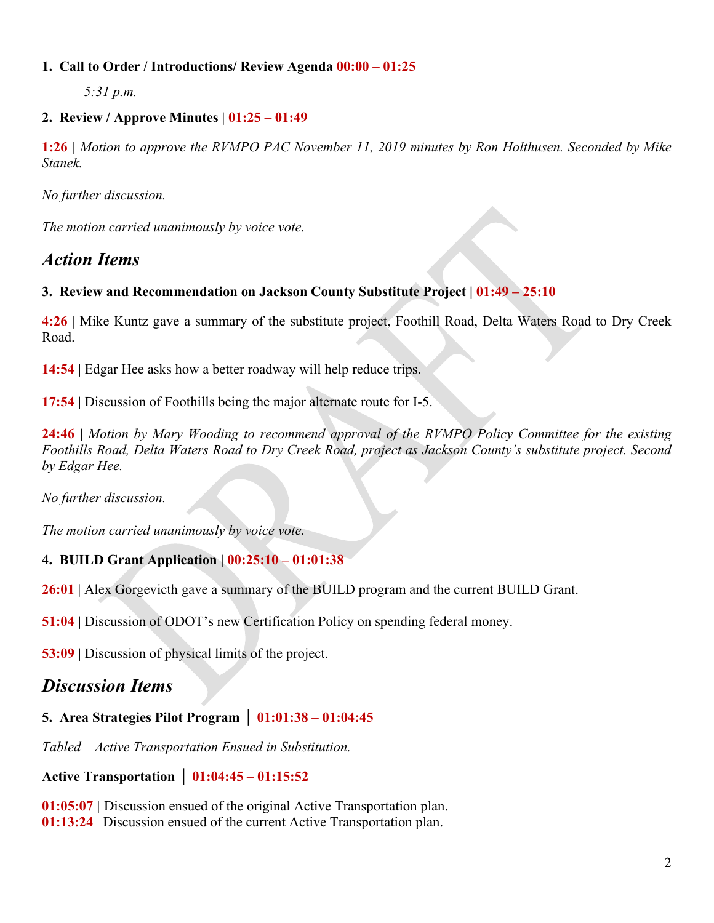#### **1. Call to Order / Introductions/ Review Agenda 00:00 – 01:25**

*5:31 p.m.*

#### **2. Review / Approve Minutes | 01:25 – 01:49**

**1:26** *| Motion to approve the RVMPO PAC November 11, 2019 minutes by Ron Holthusen. Seconded by Mike Stanek.*

*No further discussion.*

*The motion carried unanimously by voice vote.*

## *Action Items*

#### **3.****Review and Recommendation on Jackson County Substitute Project | 01:49 – 25:10**

**4:26** | Mike Kuntz gave a summary of the substitute project, Foothill Road, Delta Waters Road to Dry Creek Road.

**14:54 |** Edgar Hee asks how a better roadway will help reduce trips.

**17:54 |** Discussion of Foothills being the major alternate route for I-5.

**24:46 |** *Motion by Mary Wooding to recommend approval of the RVMPO Policy Committee for the existing Foothills Road, Delta Waters Road to Dry Creek Road, project as Jackson County's substitute project. Second by Edgar Hee.*

*No further discussion.* 

*The motion carried unanimously by voice vote.*

#### **4.****BUILD Grant Application | 00:25:10 – 01:01:38**

**26:01** | Alex Gorgevicth gave a summary of the BUILD program and the current BUILD Grant.

**51:04 |** Discussion of ODOT's new Certification Policy on spending federal money.

**53:09 |** Discussion of physical limits of the project.

### *Discussion Items*

#### **5. Area Strategies Pilot Program │ 01:01:38 – 01:04:45**

*Tabled – Active Transportation Ensued in Substitution.* 

**Active Transportation │ 01:04:45 – 01:15:52**

**01:05:07** *|* Discussion ensued of the original Active Transportation plan. **01:13:24** | Discussion ensued of the current Active Transportation plan.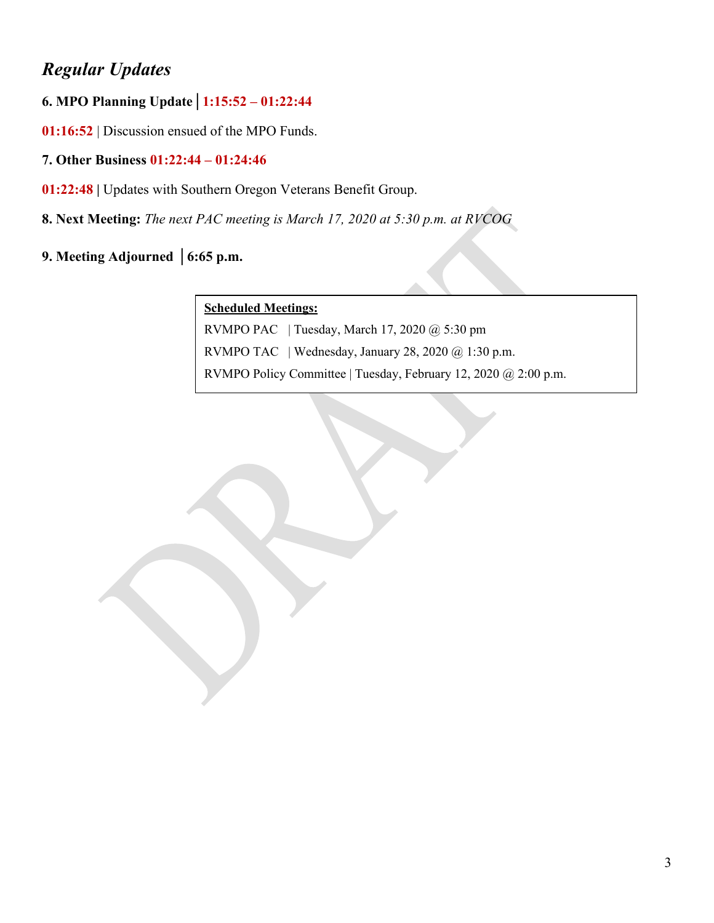# *Regular Updates*

#### **6. MPO Planning Update│1:15:52 – 01:22:44**

**01:16:52** | Discussion ensued of the MPO Funds.

#### **7. Other Business 01:22:44 – 01:24:46**

- **01:22:48 |** Updates with Southern Oregon Veterans Benefit Group.
- **8. Next Meeting:** *The next PAC meeting is March 17, 2020 at 5:30 p.m. at RVCOG*
- **9. Meeting Adjourned │6:65 p.m.**

#### **Scheduled Meetings:**

RVMPO PAC | Tuesday, March 17, 2020 @ 5:30 pm RVMPO TAC | Wednesday, January 28, 2020 @ 1:30 p.m. RVMPO Policy Committee | Tuesday, February 12, 2020 @ 2:00 p.m.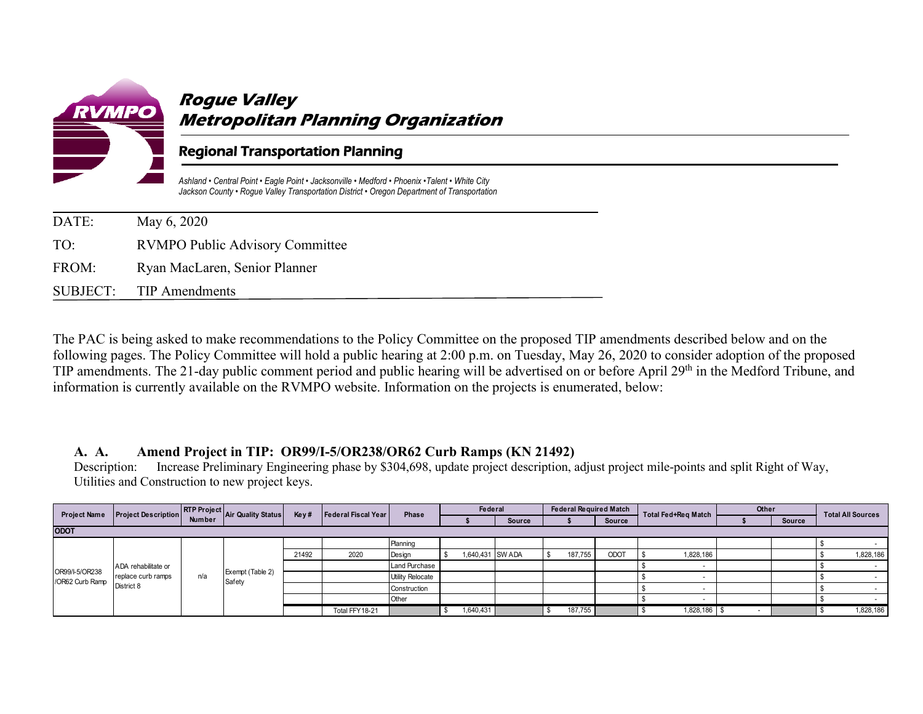

### **Rogue Valley Metropolitan Planning Organization**

#### Regional Transportation Planning

*Ashland • Central Point • Eagle Point • Jacksonville • Medford • Phoenix •Talent • White City Jackson County • Rogue Valley Transportation District • Oregon Department of Transportation*

| DATE: | May 6, 2020                            |
|-------|----------------------------------------|
| TO:   | <b>RVMPO Public Advisory Committee</b> |
| FROM: | Ryan MacLaren, Senior Planner          |
|       | SUBJECT: TIP Amendments                |

The PAC is being asked to make recommendations to the Policy Committee on the proposed TIP amendments described below and on the following pages. The Policy Committee will hold a public hearing at 2:00 p.m. on Tuesday, May 26, 2020 to consider adoption of the proposed TIP amendments. The 21-day public comment period and public hearing will be advertised on or before April 29<sup>th</sup> in the Medford Tribune, and information is currently available on the RVMPO website. Information on the projects is enumerated, below:

#### **A. A. Amend Project in TIP: OR99/I-5/OR238/OR62 Curb Ramps (KN 21492)**

Description: Increase Preliminary Engineering phase by \$304,698, update project description, adjust project mile-points and split Right of Way, Utilities and Construction to new project keys.

| <b>Project Name</b> | <b>Project Description</b> |        | RTP Project Air Quality Status | Key#  | Federal Fiscal Year | Phase                   | Federal |                  |               | <b>Federal Required Match</b> |         |               | Total Fed+Reg Match | Other                    |               | <b>Total All Sources</b> |           |
|---------------------|----------------------------|--------|--------------------------------|-------|---------------------|-------------------------|---------|------------------|---------------|-------------------------------|---------|---------------|---------------------|--------------------------|---------------|--------------------------|-----------|
|                     |                            | Number |                                |       |                     |                         |         |                  | <b>Source</b> |                               |         | <b>Source</b> |                     |                          | <b>Source</b> |                          |           |
| <b>ODOT</b>         |                            |        |                                |       |                     |                         |         |                  |               |                               |         |               |                     |                          |               |                          |           |
|                     |                            |        |                                |       |                     | Planning                |         |                  |               |                               |         |               |                     |                          |               |                          |           |
|                     |                            | n/a    | Exempt (Table 2)<br>Safety     | 21492 | 2020                | Design                  |         | 1,640,431 SW ADA |               |                               | 187,755 | <b>ODOT</b>   | 1,828,186           |                          |               |                          | 1,828,186 |
| OR99/I-5/OR238      | ADA rehabilitate or        |        |                                |       |                     | Land Purchase           |         |                  |               |                               |         |               |                     |                          |               |                          |           |
| /OR62 Curb Ramp     | replace curb ramps         |        |                                |       |                     | <b>Utility Relocate</b> |         |                  |               |                               |         |               |                     |                          |               |                          |           |
|                     | District 8                 |        |                                |       |                     | Construction            |         |                  |               |                               |         |               |                     |                          |               |                          |           |
|                     |                            |        |                                |       |                     | Other                   |         |                  |               |                               |         |               |                     |                          |               |                          |           |
|                     |                            |        |                                |       | Total FFY18-21      |                         |         | 1,640,431        |               |                               | 187,755 |               | 1,828,186           | $\overline{\phantom{0}}$ |               |                          | 1,828,186 |